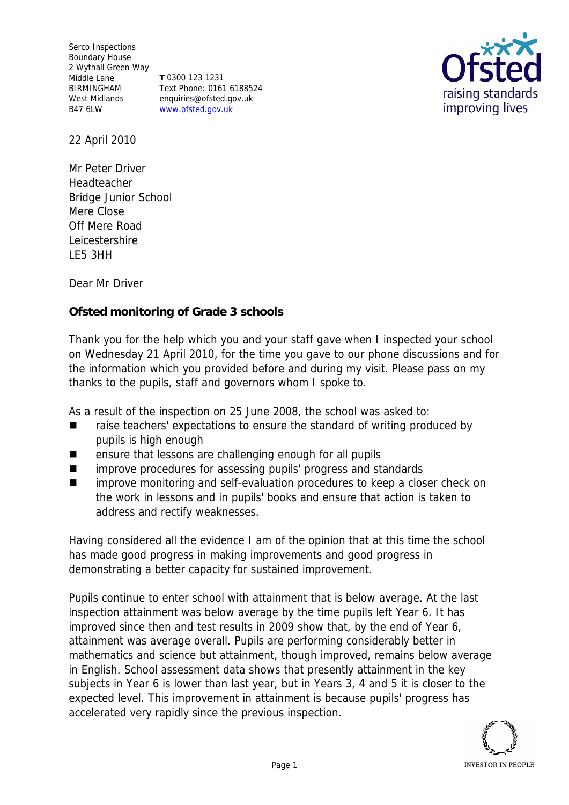Serco Inspections Boundary House 2 Wythall Green Way Middle Lane BIRMINGHAM West Midlands B47 6LW

**T** 0300 123 1231 Text Phone: 0161 6188524 enquiries@ofsted.gov.uk www.ofsted.gov.uk



22 April 2010

Mr Peter Driver Headteacher Bridge Junior School Mere Close Off Mere Road Leicestershire LE5 3HH

Dear Mr Driver

**Ofsted monitoring of Grade 3 schools**

Thank you for the help which you and your staff gave when I inspected your school on Wednesday 21 April 2010*,* for the time you gave to our phone discussions and for the information which you provided before and during my visit*.* Please pass on my thanks to the pupils, staff and governors whom I spoke to.

As a result of the inspection on 25 June 2008, the school was asked to:

- raise teachers' expectations to ensure the standard of writing produced by pupils is high enough
- ensure that lessons are challenging enough for all pupils
- **I** improve procedures for assessing pupils' progress and standards
- improve monitoring and self-evaluation procedures to keep a closer check on the work in lessons and in pupils' books and ensure that action is taken to address and rectify weaknesses.

Having considered all the evidence I am of the opinion that at this time the school has made good progress in making improvements and good progress in demonstrating a better capacity for sustained improvement.

Pupils continue to enter school with attainment that is below average. At the last inspection attainment was below average by the time pupils left Year 6. It has improved since then and test results in 2009 show that, by the end of Year 6, attainment was average overall. Pupils are performing considerably better in mathematics and science but attainment, though improved, remains below average in English. School assessment data shows that presently attainment in the key subjects in Year 6 is lower than last year, but in Years 3, 4 and 5 it is closer to the expected level. This improvement in attainment is because pupils' progress has accelerated very rapidly since the previous inspection.

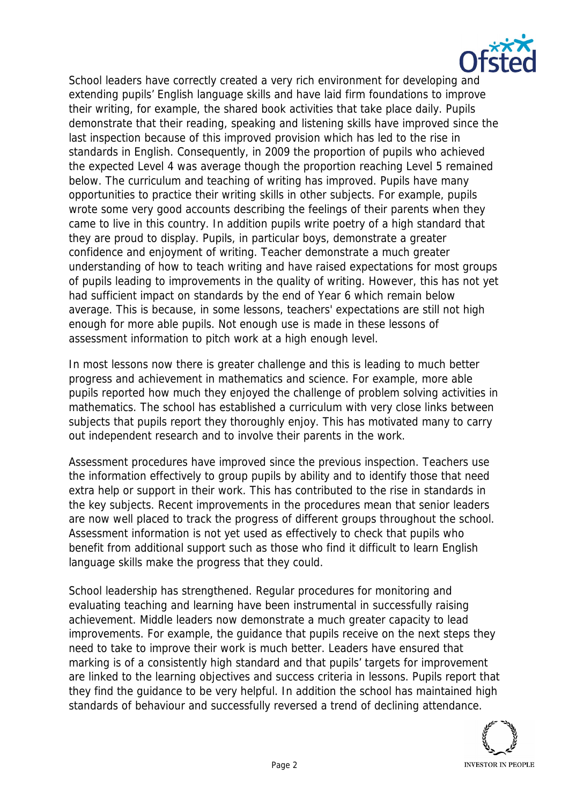

School leaders have correctly created a very rich environment for developing and extending pupils' English language skills and have laid firm foundations to improve their writing, for example, the shared book activities that take place daily. Pupils demonstrate that their reading, speaking and listening skills have improved since the last inspection because of this improved provision which has led to the rise in standards in English. Consequently, in 2009 the proportion of pupils who achieved the expected Level 4 was average though the proportion reaching Level 5 remained below. The curriculum and teaching of writing has improved. Pupils have many opportunities to practice their writing skills in other subjects. For example, pupils wrote some very good accounts describing the feelings of their parents when they came to live in this country. In addition pupils write poetry of a high standard that they are proud to display. Pupils, in particular boys, demonstrate a greater confidence and enjoyment of writing. Teacher demonstrate a much greater understanding of how to teach writing and have raised expectations for most groups of pupils leading to improvements in the quality of writing. However, this has not yet had sufficient impact on standards by the end of Year 6 which remain below average. This is because, in some lessons, teachers' expectations are still not high enough for more able pupils. Not enough use is made in these lessons of assessment information to pitch work at a high enough level.

In most lessons now there is greater challenge and this is leading to much better progress and achievement in mathematics and science. For example, more able pupils reported how much they enjoyed the challenge of problem solving activities in mathematics. The school has established a curriculum with very close links between subjects that pupils report they thoroughly enjoy. This has motivated many to carry out independent research and to involve their parents in the work.

Assessment procedures have improved since the previous inspection. Teachers use the information effectively to group pupils by ability and to identify those that need extra help or support in their work. This has contributed to the rise in standards in the key subjects. Recent improvements in the procedures mean that senior leaders are now well placed to track the progress of different groups throughout the school. Assessment information is not yet used as effectively to check that pupils who benefit from additional support such as those who find it difficult to learn English language skills make the progress that they could.

School leadership has strengthened. Regular procedures for monitoring and evaluating teaching and learning have been instrumental in successfully raising achievement. Middle leaders now demonstrate a much greater capacity to lead improvements. For example, the guidance that pupils receive on the next steps they need to take to improve their work is much better. Leaders have ensured that marking is of a consistently high standard and that pupils' targets for improvement are linked to the learning objectives and success criteria in lessons. Pupils report that they find the guidance to be very helpful. In addition the school has maintained high standards of behaviour and successfully reversed a trend of declining attendance.